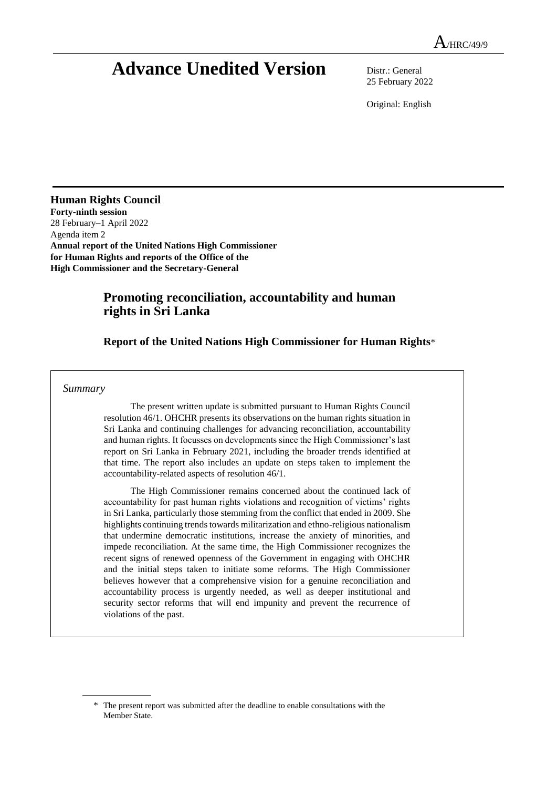# **Advance Unedited Version** Distr.: General

25 February 2022

Original: English

**Human Rights Council Forty-ninth session** 28 February–1 April 2022 Agenda item 2 **Annual report of the United Nations High Commissioner for Human Rights and reports of the Office of the High Commissioner and the Secretary-General**

# **Promoting reconciliation, accountability and human rights in Sri Lanka**

## **Report of the United Nations High Commissioner for Human Rights**\*

#### *Summary*

The present written update is submitted pursuant to Human Rights Council resolution 46/1. OHCHR presents its observations on the human rights situation in Sri Lanka and continuing challenges for advancing reconciliation, accountability and human rights. It focusses on developments since the High Commissioner's last report on Sri Lanka in February 2021, including the broader trends identified at that time. The report also includes an update on steps taken to implement the accountability-related aspects of resolution 46/1.

The High Commissioner remains concerned about the continued lack of accountability for past human rights violations and recognition of victims' rights in Sri Lanka, particularly those stemming from the conflict that ended in 2009. She highlights continuing trends towards militarization and ethno-religious nationalism that undermine democratic institutions, increase the anxiety of minorities, and impede reconciliation. At the same time, the High Commissioner recognizes the recent signs of renewed openness of the Government in engaging with OHCHR and the initial steps taken to initiate some reforms. The High Commissioner believes however that a comprehensive vision for a genuine reconciliation and accountability process is urgently needed, as well as deeper institutional and security sector reforms that will end impunity and prevent the recurrence of violations of the past.

<sup>\*</sup> The present report was submitted after the deadline to enable consultations with the Member State.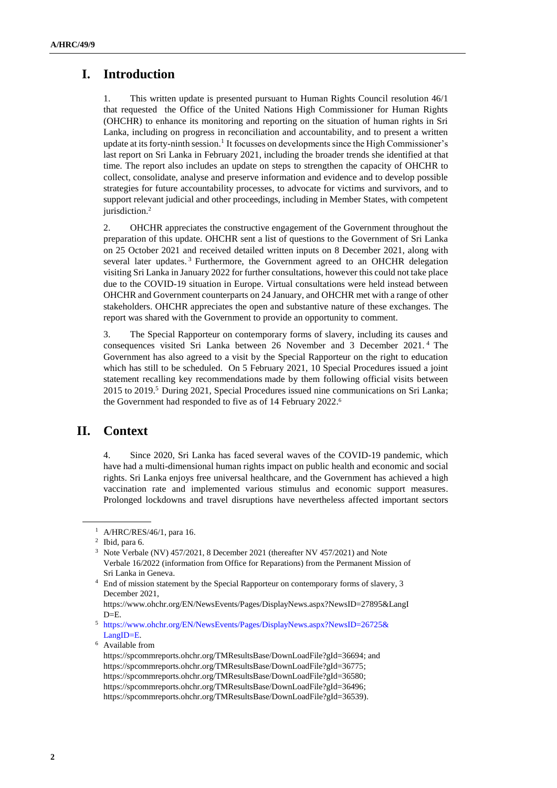# **I. Introduction**

1. This written update is presented pursuant to Human Rights Council resolution 46/1 that requested the Office of the United Nations High Commissioner for Human Rights (OHCHR) to enhance its monitoring and reporting on the situation of human rights in Sri Lanka, including on progress in reconciliation and accountability, and to present a written update at its forty-ninth session.<sup>1</sup> It focusses on developments since the High Commissioner's last report on Sri Lanka in February 2021, including the broader trends she identified at that time. The report also includes an update on steps to strengthen the capacity of OHCHR to collect, consolidate, analyse and preserve information and evidence and to develop possible strategies for future accountability processes, to advocate for victims and survivors, and to support relevant judicial and other proceedings, including in Member States, with competent jurisdiction.<sup>2</sup>

2. OHCHR appreciates the constructive engagement of the Government throughout the preparation of this update. OHCHR sent a list of questions to the Government of Sri Lanka on 25 October 2021 and received detailed written inputs on 8 December 2021, along with several later updates.<sup>3</sup> Furthermore, the Government agreed to an OHCHR delegation visiting Sri Lanka in January 2022 for further consultations, however this could not take place due to the COVID-19 situation in Europe. Virtual consultations were held instead between OHCHR and Government counterparts on 24 January, and OHCHR met with a range of other stakeholders. OHCHR appreciates the open and substantive nature of these exchanges. The report was shared with the Government to provide an opportunity to comment.

3. The Special Rapporteur on contemporary forms of slavery, including its causes and consequences visited Sri Lanka between 26 November and 3 December 2021. <sup>4</sup> The Government has also agreed to a visit by the Special Rapporteur on the right to education which has still to be scheduled. On 5 February 2021, 10 Special Procedures issued a joint statement recalling key recommendations made by them following official visits between  $2015$  to  $2019$ <sup>5</sup> During 2021, Special Procedures issued nine communications on Sri Lanka; the Government had responded to five as of 14 February 2022. 6

# **II. Context**

4. Since 2020, Sri Lanka has faced several waves of the COVID-19 pandemic, which have had a multi-dimensional human rights impact on public health and economic and social rights. Sri Lanka enjoys free universal healthcare, and the Government has achieved a high vaccination rate and implemented various stimulus and economic support measures. Prolonged lockdowns and travel disruptions have nevertheless affected important sectors

<sup>1</sup> A/HRC/RES/46/1, para 16.

<sup>2</sup> Ibid, para 6.

<sup>3</sup> Note Verbale (NV) 457/2021, 8 December 2021 (thereafter NV 457/2021) and Note Verbale 16/2022 (information from Office for Reparations) from the Permanent Mission of Sri Lanka in Geneva.

<sup>&</sup>lt;sup>4</sup> End of mission statement by the Special Rapporteur on contemporary forms of slavery, 3 December 2021,

[https://www.ohchr.org/EN/NewsEvents/Pages/DisplayNews.aspx?NewsID=27895&LangI](https://www.ohchr.org/EN/NewsEvents/Pages/DisplayNews.aspx?NewsID=27895&LangID=E)  $D=E$ .

<sup>5</sup> [https://www.ohchr.org/EN/NewsEvents/Pages/DisplayNews.aspx?NewsID=26725&](https://www.ohchr.org/EN/NewsEvents/Pages/DisplayNews.aspx?NewsID=26725&LangID=E) [LangID=E.](https://www.ohchr.org/EN/NewsEvents/Pages/DisplayNews.aspx?NewsID=26725&LangID=E)

<sup>6</sup> Available from

[https://spcommreports.ohchr.org/TMResultsBase/DownLoadFile?gId=36694;](https://spcommreports.ohchr.org/TMResultsBase/DownLoadFile?gId=36694) and [https://spcommreports.ohchr.org/TMResultsBase/DownLoadFile?gId=36775;](https://spcommreports.ohchr.org/TMResultsBase/DownLoadFile?gId=36775) [https://spcommreports.ohchr.org/TMResultsBase/DownLoadFile?gId=36580;](https://spcommreports.ohchr.org/TMResultsBase/DownLoadFile?gId=36580) [https://spcommreports.ohchr.org/TMResultsBase/DownLoadFile?gId=36496;](https://spcommreports.ohchr.org/TMResultsBase/DownLoadFile?gId=36496) https://spcommreports.ohchr.org/TMResultsBase/DownLoadFile?gId=36539).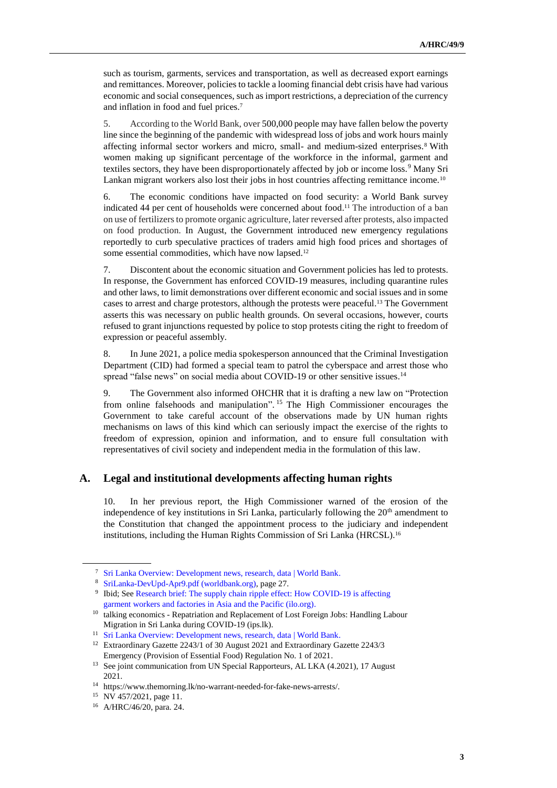such as tourism, garments, services and transportation, as well as decreased export earnings and remittances. Moreover, policies to tackle a looming financial debt crisis have had various economic and social consequences, such as import restrictions, a depreciation of the currency and inflation in food and fuel prices. 7

5. According to the World Bank, over 500,000 people may have fallen below the poverty line since the beginning of the pandemic with widespread loss of jobs and work hours mainly affecting informal sector workers and micro, small- and medium-sized enterprises. <sup>8</sup> With women making up significant percentage of the workforce in the informal, garment and textiles sectors, they have been disproportionately affected by job or income loss.<sup>9</sup> Many Sri Lankan migrant workers also lost their jobs in host countries affecting remittance income.<sup>10</sup>

6. The economic conditions have impacted on food security: a World Bank survey indicated 44 per cent of households were concerned about food. <sup>11</sup> The introduction of a ban on use of fertilizers to promote organic agriculture, later reversed after protests, also impacted on food production. In August, the Government introduced new emergency regulations reportedly to curb speculative practices of traders amid high food prices and shortages of some essential commodities, which have now lapsed.<sup>12</sup>

7. Discontent about the economic situation and Government policies has led to protests. In response, the Government has enforced COVID-19 measures, including quarantine rules and other laws, to limit demonstrations over different economic and social issues and in some cases to arrest and charge protestors, although the protests were peaceful. <sup>13</sup> The Government asserts this was necessary on public health grounds. On several occasions, however, courts refused to grant injunctions requested by police to stop protests citing the right to freedom of expression or peaceful assembly.

8. In June 2021, a police media spokesperson announced that the Criminal Investigation Department (CID) had formed a special team to patrol the cyberspace and arrest those who spread "false news" on social media about COVID-19 or other sensitive issues.<sup>14</sup>

9. The Government also informed OHCHR that it is drafting a new law on "Protection from online falsehoods and manipulation". <sup>15</sup> The High Commissioner encourages the Government to take careful account of the observations made by UN human rights mechanisms on laws of this kind which can seriously impact the exercise of the rights to freedom of expression, opinion and information, and to ensure full consultation with representatives of civil society and independent media in the formulation of this law.

## **A. Legal and institutional developments affecting human rights**

10. In her previous report, the High Commissioner warned of the erosion of the independence of key institutions in Sri Lanka, particularly following the  $20<sup>th</sup>$  amendment to the Constitution that changed the appointment process to the judiciary and independent institutions, including the Human Rights Commission of Sri Lanka (HRCSL). 16

<sup>7</sup> [Sri Lanka Overview: Development news, research, data | World Bank.](https://www.worldbank.org/en/country/srilanka/overview#4)

<sup>8</sup> [SriLanka-DevUpd-Apr9.pdf \(worldbank.org\),](https://thedocs.worldbank.org/en/doc/15b8de0edd4f39cc7a82b7aff8430576-0310062021/original/SriLanka-DevUpd-Apr9.pdf) page 27.

<sup>9</sup> Ibid; See [Research brief: The supply chain ripple effect: How COVID-19 is affecting](https://www.ilo.org/asia/publications/issue-briefs/WCMS_758626/lang--en/index.htm)  [garment workers and factories in Asia and the Pacific \(ilo.org\).](https://www.ilo.org/asia/publications/issue-briefs/WCMS_758626/lang--en/index.htm)

<sup>&</sup>lt;sup>10</sup> talking economics - Repatriation and Replacement of Lost Foreign Jobs: Handling Labour [Migration in Sri Lanka during COVID-19 \(ips.lk\).](https://www.ips.lk/talkingeconomics/2020/05/14/repatriation-and-replacement-of-lost-foreign-jobs-handling-labour-migration-in-sri-lanka-during-covid-19/)

<sup>11</sup> [Sri Lanka Overview: Development news, research, data | World Bank.](https://www.worldbank.org/en/country/srilanka/overview#1)

<sup>12</sup> Extraordinary Gazette 2243/1 of 30 August 2021 and Extraordinary Gazette 2243/3 Emergency (Provision of Essential Food) Regulation No. 1 of 2021.

<sup>&</sup>lt;sup>13</sup> See joint communication from UN Special Rapporteurs, AL LKA (4.2021), 17 August 2021.

<sup>14</sup> [https://www.themorning.lk/no-warrant-needed-for-fake-news-arrests/.](https://www.themorning.lk/no-warrant-needed-for-fake-news-arrests/)

<sup>15</sup> NV 457/2021, page 11.

<sup>16</sup> A/HRC/46/20, para. 24.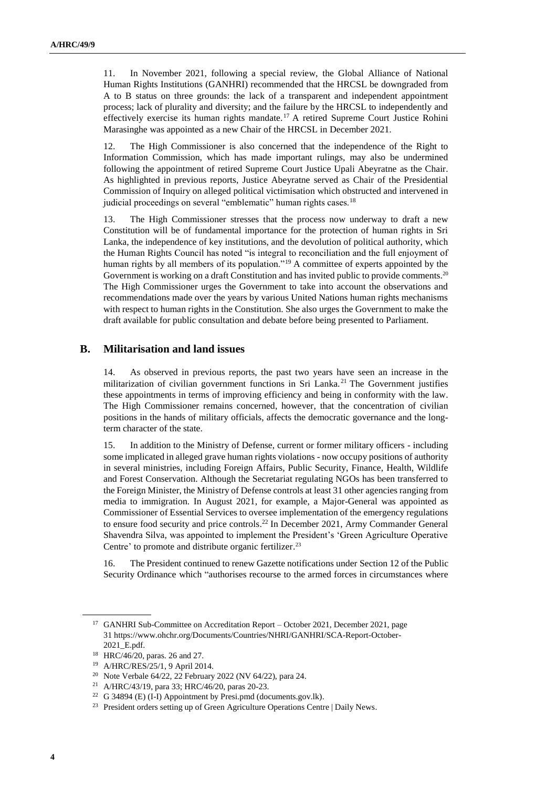11. In November 2021, following a special review, the Global Alliance of National Human Rights Institutions (GANHRI) recommended that the HRCSL be downgraded from A to B status on three grounds: the lack of a transparent and independent appointment process; lack of plurality and diversity; and the failure by the HRCSL to independently and effectively exercise its human rights mandate.<sup>17</sup> A retired Supreme Court Justice Rohini Marasinghe was appointed as a new Chair of the HRCSL in December 2021.

12. The High Commissioner is also concerned that the independence of the Right to Information Commission, which has made important rulings, may also be undermined following the appointment of retired Supreme Court Justice Upali Abeyratne as the Chair. As highlighted in previous reports, Justice Abeyratne served as Chair of the Presidential Commission of Inquiry on alleged political victimisation which obstructed and intervened in judicial proceedings on several "emblematic" human rights cases.<sup>18</sup>

13. The High Commissioner stresses that the process now underway to draft a new Constitution will be of fundamental importance for the protection of human rights in Sri Lanka, the independence of key institutions, and the devolution of political authority, which the Human Rights Council has noted "is integral to reconciliation and the full enjoyment of human rights by all members of its population."<sup>19</sup> A committee of experts appointed by the Government is working on a draft Constitution and has invited public to provide comments.<sup>20</sup> The High Commissioner urges the Government to take into account the observations and recommendations made over the years by various United Nations human rights mechanisms with respect to human rights in the Constitution. She also urges the Government to make the draft available for public consultation and debate before being presented to Parliament.

#### **B. Militarisation and land issues**

14. As observed in previous reports, the past two years have seen an increase in the militarization of civilian government functions in Sri Lanka. <sup>21</sup> The Government justifies these appointments in terms of improving efficiency and being in conformity with the law. The High Commissioner remains concerned, however, that the concentration of civilian positions in the hands of military officials, affects the democratic governance and the longterm character of the state.

15. In addition to the Ministry of Defense, current or former military officers - including some implicated in alleged grave human rights violations - now occupy positions of authority in several ministries, including Foreign Affairs, Public Security, Finance, Health, Wildlife and Forest Conservation. Although the Secretariat regulating NGOs has been transferred to the Foreign Minister, the Ministry of Defense controls at least 31 other agencies ranging from media to immigration. In August 2021, for example, a Major-General was appointed as Commissioner of Essential Services to oversee implementation of the emergency regulations to ensure food security and price controls. <sup>22</sup> In December 2021, Army Commander General Shavendra Silva, was appointed to implement the President's 'Green Agriculture Operative Centre' to promote and distribute organic fertilizer.<sup>23</sup>

16. The President continued to renew Gazette notifications under Section 12 of the Public Security Ordinance which "authorises recourse to the armed forces in circumstances where

<sup>&</sup>lt;sup>17</sup> GANHRI Sub-Committee on Accreditation Report – October 2021, December 2021, page 31 [https://www.ohchr.org/Documents/Countries/NHRI/GANHRI/SCA-Report-October-](https://www.ohchr.org/Documents/Countries/NHRI/GANHRI/SCA-Report-October-2021_E.pdf)[2021\\_E.pdf.](https://www.ohchr.org/Documents/Countries/NHRI/GANHRI/SCA-Report-October-2021_E.pdf)

<sup>18</sup> HRC/46/20, paras. 26 and 27.

<sup>19</sup> A/HRC/RES/25/1, 9 April 2014.

<sup>20</sup> Note Verbale 64/22, 22 February 2022 (NV 64/22), para 24.

<sup>21</sup> A/HRC/43/19, para 33; HRC/46/20, paras 20-23.

<sup>22</sup> [G 34894 \(E\) \(I-I\) Appointment by Presi.pmd \(documents.gov.lk\).](http://documents.gov.lk/files/egz/2021/8/2243-05_E.pdf)

<sup>&</sup>lt;sup>23</sup> [President orders setting up of Green Agriculture Operations Centre | Daily News.](http://www.dailynews.lk/2021/12/06/local/266508/president-orders-setting-green-agriculture-operations-centre)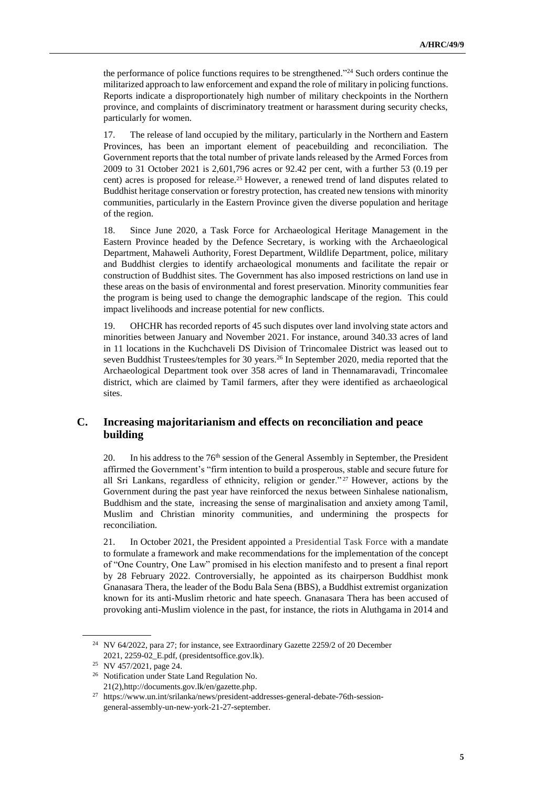the performance of police functions requires to be strengthened."<sup>24</sup> Such orders continue the militarized approach to law enforcement and expand the role of military in policing functions. Reports indicate a disproportionately high number of military checkpoints in the Northern province, and complaints of discriminatory treatment or harassment during security checks, particularly for women.

17. The release of land occupied by the military, particularly in the Northern and Eastern Provinces, has been an important element of peacebuilding and reconciliation. The Government reports that the total number of private lands released by the Armed Forces from 2009 to 31 October 2021 is 2,601,796 acres or 92.42 per cent, with a further 53 (0.19 per cent) acres is proposed for release.<sup>25</sup> However, a renewed trend of land disputes related to Buddhist heritage conservation or forestry protection, has created new tensions with minority communities, particularly in the Eastern Province given the diverse population and heritage of the region.

18. Since June 2020, a Task Force for Archaeological Heritage Management in the Eastern Province headed by the Defence Secretary, is working with the Archaeological Department, Mahaweli Authority, Forest Department, Wildlife Department, police, military and Buddhist clergies to identify archaeological monuments and facilitate the repair or construction of Buddhist sites. The Government has also imposed restrictions on land use in these areas on the basis of environmental and forest preservation. Minority communities fear the program is being used to change the demographic landscape of the region. This could impact livelihoods and increase potential for new conflicts.

19. OHCHR has recorded reports of 45 such disputes over land involving state actors and minorities between January and November 2021. For instance, around 340.33 acres of land in 11 locations in the Kuchchaveli DS Division of Trincomalee District was leased out to seven Buddhist Trustees/temples for 30 years.<sup>26</sup> In September 2020, media reported that the Archaeological Department took over 358 acres of land in Thennamaravadi, Trincomalee district, which are claimed by Tamil farmers, after they were identified as archaeological sites.

## **C. Increasing majoritarianism and effects on reconciliation and peace building**

20. In his address to the 76<sup>th</sup> session of the General Assembly in September, the President affirmed the Government's "firm intention to build a prosperous, stable and secure future for all Sri Lankans, regardless of ethnicity, religion or gender." <sup>27</sup> However, actions by the Government during the past year have reinforced the nexus between Sinhalese nationalism, Buddhism and the state, increasing the sense of marginalisation and anxiety among Tamil, Muslim and Christian minority communities, and undermining the prospects for reconciliation.

21. In October 2021, the President appointed a Presidential Task Force with a mandate to formulate a framework and make recommendations for the implementation of the concept of "One Country, One Law" promised in his election manifesto and to present a final report by 28 February 2022. Controversially, he appointed as its chairperson Buddhist monk Gnanasara Thera, the leader of the Bodu Bala Sena (BBS), a Buddhist extremist organization known for its anti-Muslim rhetoric and hate speech. Gnanasara Thera has been accused of provoking anti-Muslim violence in the past, for instance, the riots in Aluthgama in 2014 and

<sup>24</sup> NV 64/2022, para 27; for instance, see Extraordinary Gazette 2259/2 of 20 December 2021[, 2259-02\\_E.pdf, \(presidentsoffice.gov.lk\).](https://www.presidentsoffice.gov.lk/wp-content/uploads/2021/12/2259-02_E.pdf) 

<sup>25</sup> NV 457/2021, page 24.

<sup>26</sup> Notification under State Land Regulation No. 21(2[\),http://documents.gov.lk/en/gazette.php.](http://documents.gov.lk/en/gazette.php)

<sup>27</sup> [https://www.un.int/srilanka/news/president-addresses-general-debate-76th-session](https://www.un.int/srilanka/news/president-addresses-general-debate-76th-session-general-assembly-un-new-york-21-27-september)[general-assembly-un-new-york-21-27-september.](https://www.un.int/srilanka/news/president-addresses-general-debate-76th-session-general-assembly-un-new-york-21-27-september)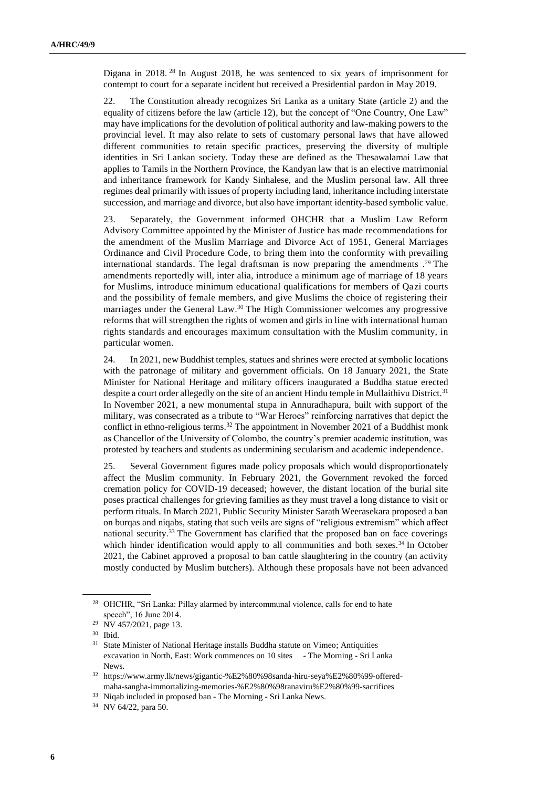Digana in 2018.<sup>28</sup> In August 2018, he was sentenced to six years of imprisonment for contempt to court for a separate incident but received a Presidential pardon in May 2019.

22. The Constitution already recognizes Sri Lanka as a unitary State (article 2) and the equality of citizens before the law (article 12), but the concept of "One Country, One Law" may have implications for the devolution of political authority and law-making powers to the provincial level. It may also relate to sets of customary personal laws that have allowed different communities to retain specific practices, preserving the diversity of multiple identities in Sri Lankan society. Today these are defined as the Thesawalamai Law that applies to Tamils in the Northern Province, the Kandyan law that is an elective matrimonial and inheritance framework for Kandy Sinhalese, and the Muslim personal law. All three regimes deal primarily with issues of property including land, inheritance including interstate succession, and marriage and divorce, but also have important identity-based symbolic value.

23. Separately, the Government informed OHCHR that a Muslim Law Reform Advisory Committee appointed by the Minister of Justice has made recommendations for the amendment of the Muslim Marriage and Divorce Act of 1951, General Marriages Ordinance and Civil Procedure Code, to bring them into the conformity with prevailing international standards. The legal draftsman is now preparing the amendments . <sup>29</sup> The amendments reportedly will, inter alia, introduce a minimum age of marriage of 18 years for Muslims, introduce minimum educational qualifications for members of Qazi courts and the possibility of female members, and give Muslims the choice of registering their marriages under the General Law. <sup>30</sup> The High Commissioner welcomes any progressive reforms that will strengthen the rights of women and girls in line with international human rights standards and encourages maximum consultation with the Muslim community, in particular women.

24. In 2021, new Buddhist temples, statues and shrines were erected at symbolic locations with the patronage of military and government officials. On 18 January 2021, the State Minister for National Heritage and military officers inaugurated a Buddha statue erected despite a court order allegedly on the site of an ancient Hindu temple in Mullaithivu District.<sup>31</sup> In November 2021, a new monumental stupa in Annuradhapura, built with support of the military, was consecrated as a tribute to "War Heroes" reinforcing narratives that depict the conflict in ethno-religious terms. <sup>32</sup> The appointment in November 2021 of a Buddhist monk as Chancellor of the University of Colombo, the country's premier academic institution, was protested by teachers and students as undermining secularism and academic independence.

25. Several Government figures made policy proposals which would disproportionately affect the Muslim community. In February 2021, the Government revoked the forced cremation policy for COVID-19 deceased; however, the distant location of the burial site poses practical challenges for grieving families as they must travel a long distance to visit or perform rituals. In March 2021, Public Security Minister Sarath Weerasekara proposed a ban on burqas and niqabs, stating that such veils are signs of "religious extremism" which affect national security.<sup>33</sup> The Government has clarified that the proposed ban on face coverings which hinder identification would apply to all communities and both sexes.<sup>34</sup> In October 2021, the Cabinet approved a proposal to ban cattle slaughtering in the country (an activity mostly conducted by Muslim butchers). Although these proposals have not been advanced

<sup>28</sup> OHCHR, "Sri Lanka: Pillay alarmed by intercommunal violence, calls for end to hate speech", 16 June 2014.

<sup>&</sup>lt;sup>29</sup> NV 457/2021, page 13.

<sup>30</sup> Ibid.

<sup>&</sup>lt;sup>31</sup> [State Minister of National Heritage installs Buddha statute on Vimeo;](https://vimeo.com/519934257) Antiquities [excavation in North, East: Work commences on 10 sites](https://www.themorning.lk/antiquities-excavation-in-north-east-work-commences-on-10-sites/) - The Morning - Sri Lanka [News.](https://www.themorning.lk/antiquities-excavation-in-north-east-work-commences-on-10-sites/)

<sup>32</sup> [https://www.army.lk/news/gigantic-%E2%80%98sanda-hiru-seya%E2%80%99-offered](https://www.army.lk/news/gigantic-%E2%80%98sanda-hiru-seya%E2%80%99-offered-maha-sangha-immortalizing-memories-%E2%80%98ranaviru%E2%80%99-sacrifices)[maha-sangha-immortalizing-memories-%E2%80%98ranaviru%E2%80%99-sacrifices](https://www.army.lk/news/gigantic-%E2%80%98sanda-hiru-seya%E2%80%99-offered-maha-sangha-immortalizing-memories-%E2%80%98ranaviru%E2%80%99-sacrifices) 

<sup>33</sup> [Niqab included in proposed ban -](https://www.themorning.lk/niqab-included-in-proposed-ban/) The Morning - Sri Lanka News.

<sup>34</sup> NV 64/22, para 50.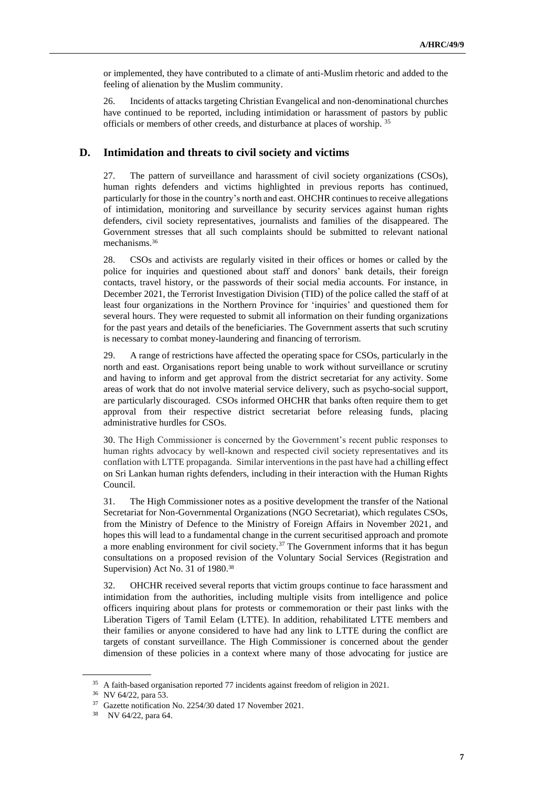or implemented, they have contributed to a climate of anti-Muslim rhetoric and added to the feeling of alienation by the Muslim community.

26. Incidents of attacks targeting Christian Evangelical and non-denominational churches have continued to be reported, including intimidation or harassment of pastors by public officials or members of other creeds, and disturbance at places of worship. <sup>35</sup>

#### **D. Intimidation and threats to civil society and victims**

27. The pattern of surveillance and harassment of civil society organizations (CSOs), human rights defenders and victims highlighted in previous reports has continued, particularly for those in the country's north and east. OHCHR continues to receive allegations of intimidation, monitoring and surveillance by security services against human rights defenders, civil society representatives, journalists and families of the disappeared. The Government stresses that all such complaints should be submitted to relevant national mechanisms.<sup>36</sup>

28. CSOs and activists are regularly visited in their offices or homes or called by the police for inquiries and questioned about staff and donors' bank details, their foreign contacts, travel history, or the passwords of their social media accounts. For instance, in December 2021, the Terrorist Investigation Division (TID) of the police called the staff of at least four organizations in the Northern Province for 'inquiries' and questioned them for several hours. They were requested to submit all information on their funding organizations for the past years and details of the beneficiaries. The Government asserts that such scrutiny is necessary to combat money-laundering and financing of terrorism.

29. A range of restrictions have affected the operating space for CSOs, particularly in the north and east. Organisations report being unable to work without surveillance or scrutiny and having to inform and get approval from the district secretariat for any activity. Some areas of work that do not involve material service delivery, such as psycho-social support, are particularly discouraged. CSOs informed OHCHR that banks often require them to get approval from their respective district secretariat before releasing funds, placing administrative hurdles for CSOs.

30. The High Commissioner is concerned by the Government's recent public responses to human rights advocacy by well-known and respected civil society representatives and its conflation with LTTE propaganda. Similar interventions in the past have had a chilling effect on Sri Lankan human rights defenders, including in their interaction with the Human Rights Council.

31. The High Commissioner notes as a positive development the transfer of the National Secretariat for Non-Governmental Organizations (NGO Secretariat), which regulates CSOs, from the Ministry of Defence to the Ministry of Foreign Affairs in November 2021, and hopes this will lead to a fundamental change in the current securitised approach and promote a more enabling environment for civil society.<sup>37</sup> The Government informs that it has begun consultations on a proposed revision of the Voluntary Social Services (Registration and Supervision) Act No. 31 of 1980.<sup>38</sup>

32. OHCHR received several reports that victim groups continue to face harassment and intimidation from the authorities, including multiple visits from intelligence and police officers inquiring about plans for protests or commemoration or their past links with the Liberation Tigers of Tamil Eelam (LTTE). In addition, rehabilitated LTTE members and their families or anyone considered to have had any link to LTTE during the conflict are targets of constant surveillance. The High Commissioner is concerned about the gender dimension of these policies in a context where many of those advocating for justice are

<sup>&</sup>lt;sup>35</sup> A faith-based organisation reported 77 incidents against freedom of religion in 2021.

<sup>36</sup> NV 64/22, para 53.

<sup>37</sup> Gazette notification No. 2254/30 dated 17 November 2021.

<sup>38</sup> NV 64/22, para 64.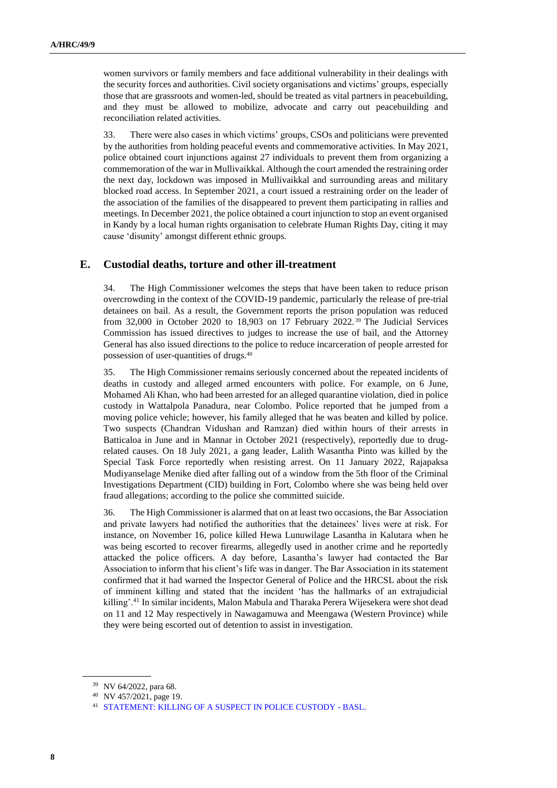women survivors or family members and face additional vulnerability in their dealings with the security forces and authorities. Civil society organisations and victims' groups, especially those that are grassroots and women-led, should be treated as vital partners in peacebuilding, and they must be allowed to mobilize, advocate and carry out peacebuilding and reconciliation related activities.

33. There were also cases in which victims' groups, CSOs and politicians were prevented by the authorities from holding peaceful events and commemorative activities. In May 2021, police obtained court injunctions against 27 individuals to prevent them from organizing a commemoration of the war in Mullivaikkal. Although the court amended the restraining order the next day, lockdown was imposed in Mullivaikkal and surrounding areas and military blocked road access. In September 2021, a court issued a restraining order on the leader of the association of the families of the disappeared to prevent them participating in rallies and meetings. In December 2021, the police obtained a court injunction to stop an event organised in Kandy by a local human rights organisation to celebrate Human Rights Day, citing it may cause 'disunity' amongst different ethnic groups.

#### **E. Custodial deaths, torture and other ill-treatment**

34. The High Commissioner welcomes the steps that have been taken to reduce prison overcrowding in the context of the COVID-19 pandemic, particularly the release of pre-trial detainees on bail. As a result, the Government reports the prison population was reduced from 32,000 in October 2020 to 18,903 on 17 February 2022. <sup>39</sup> The Judicial Services Commission has issued directives to judges to increase the use of bail, and the Attorney General has also issued directions to the police to reduce incarceration of people arrested for possession of user-quantities of drugs.<sup>40</sup>

35. The High Commissioner remains seriously concerned about the repeated incidents of deaths in custody and alleged armed encounters with police. For example, on 6 June, Mohamed Ali Khan, who had been arrested for an alleged quarantine violation, died in police custody in Wattalpola Panadura, near Colombo. Police reported that he jumped from a moving police vehicle; however, his family alleged that he was beaten and killed by police. Two suspects (Chandran Vidushan and Ramzan) died within hours of their arrests in Batticaloa in June and in Mannar in October 2021 (respectively), reportedly due to drugrelated causes. On 18 July 2021, a gang leader, Lalith Wasantha Pinto was killed by the Special Task Force reportedly when resisting arrest. On 11 January 2022, Rajapaksa Mudiyanselage Menike died after falling out of a window from the 5th floor of the Criminal Investigations Department (CID) building in Fort, Colombo where she was being held over fraud allegations; according to the police she committed suicide.

36. The High Commissioner is alarmed that on at least two occasions, the Bar Association and private lawyers had notified the authorities that the detainees' lives were at risk. For instance, on November 16, police killed Hewa Lunuwilage Lasantha in Kalutara when he was being escorted to recover firearms, allegedly used in another crime and he reportedly attacked the police officers. A day before, Lasantha's lawyer had contacted the Bar Association to inform that his client's life was in danger. The Bar Association in its statement confirmed that it had warned the Inspector General of Police and the HRCSL about the risk of imminent killing and stated that the incident 'has the hallmarks of an extrajudicial killing'.<sup>41</sup> In similar incidents, Malon Mabula and Tharaka Perera Wijesekera were shot dead on 11 and 12 May respectively in Nawagamuwa and Meengawa (Western Province) while they were being escorted out of detention to assist in investigation.

<sup>39</sup> NV 64/2022, para 68.

<sup>40</sup> NV 457/2021, page 19.

<sup>41</sup> [STATEMENT: KILLING OF A SUSPECT IN POLICE CUSTODY -](https://basl.lk/statement-killing-of-a-suspect-in-police-custody/) BASL.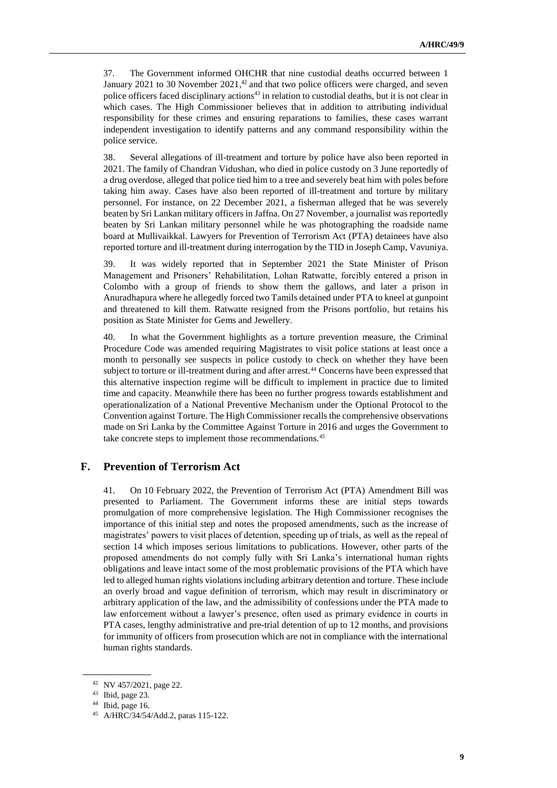37. The Government informed OHCHR that nine custodial deaths occurred between 1 January 2021 to 30 November 2021,<sup>42</sup> and that two police officers were charged, and seven police officers faced disciplinary actions<sup>43</sup> in relation to custodial deaths, but it is not clear in which cases. The High Commissioner believes that in addition to attributing individual responsibility for these crimes and ensuring reparations to families, these cases warrant independent investigation to identify patterns and any command responsibility within the police service.

38. Several allegations of ill-treatment and torture by police have also been reported in 2021. The family of Chandran Vidushan, who died in police custody on 3 June reportedly of a drug overdose, alleged that police tied him to a tree and severely beat him with poles before taking him away. Cases have also been reported of ill-treatment and torture by military personnel. For instance, on 22 December 2021, a fisherman alleged that he was severely beaten by Sri Lankan military officers in Jaffna. On 27 November, a journalist was reportedly beaten by Sri Lankan military personnel while he was photographing the roadside name board at Mullivaikkal. Lawyers for Prevention of Terrorism Act (PTA) detainees have also reported torture and ill-treatment during interrogation by the TID in Joseph Camp, Vavuniya.

39. It was widely reported that in September 2021 the State Minister of Prison Management and Prisoners' Rehabilitation, Lohan Ratwatte, forcibly entered a prison in Colombo with a group of friends to show them the gallows, and later a prison in Anuradhapura where he allegedly forced two Tamils detained under PTA to kneel at gunpoint and threatened to kill them. Ratwatte resigned from the Prisons portfolio, but retains his position as State Minister for Gems and Jewellery.

40. In what the Government highlights as a torture prevention measure, the Criminal Procedure Code was amended requiring Magistrates to visit police stations at least once a month to personally see suspects in police custody to check on whether they have been subject to torture or ill-treatment during and after arrest.<sup>44</sup> Concerns have been expressed that this alternative inspection regime will be difficult to implement in practice due to limited time and capacity. Meanwhile there has been no further progress towards establishment and operationalization of a National Preventive Mechanism under the Optional Protocol to the Convention against Torture. The High Commissioner recalls the comprehensive observations made on Sri Lanka by the Committee Against Torture in 2016 and urges the Government to take concrete steps to implement those recommendations.<sup>45</sup>

## **F. Prevention of Terrorism Act**

41. On 10 February 2022, the Prevention of Terrorism Act (PTA) Amendment Bill was presented to Parliament. The Government informs these are initial steps towards promulgation of more comprehensive legislation. The High Commissioner recognises the importance of this initial step and notes the proposed amendments, such as the increase of magistrates' powers to visit places of detention, speeding up of trials, as well as the repeal of section 14 which imposes serious limitations to publications. However, other parts of the proposed amendments do not comply fully with Sri Lanka's international human rights obligations and leave intact some of the most problematic provisions of the PTA which have led to alleged human rights violations including arbitrary detention and torture. These include an overly broad and vague definition of terrorism, which may result in discriminatory or arbitrary application of the law, and the admissibility of confessions under the PTA made to law enforcement without a lawyer's presence, often used as primary evidence in courts in PTA cases, lengthy administrative and pre-trial detention of up to 12 months, and provisions for immunity of officers from prosecution which are not in compliance with the international human rights standards.

<sup>42</sup> NV 457/2021, page 22.

<sup>43</sup> Ibid, page 23.

<sup>44</sup> Ibid, page 16.

<sup>45</sup> A/HRC/34/54/Add.2, paras 115-122.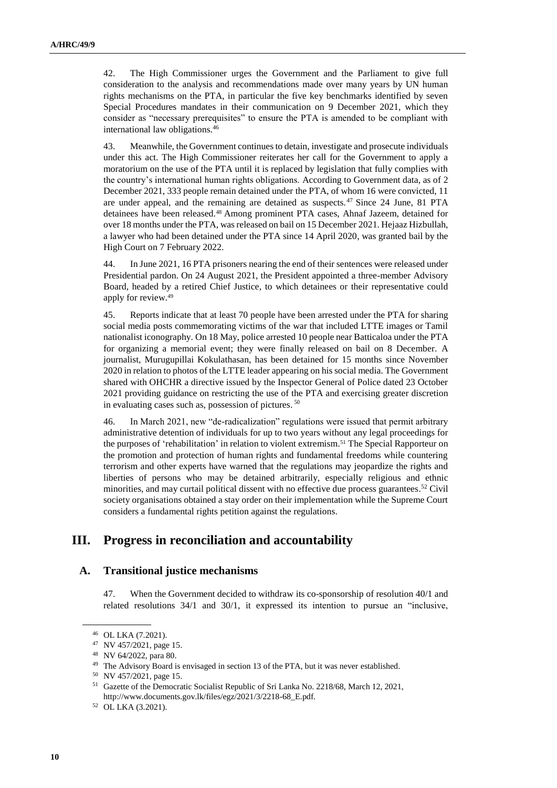42. The High Commissioner urges the Government and the Parliament to give full consideration to the analysis and recommendations made over many years by UN human rights mechanisms on the PTA, in particular the five key benchmarks identified by seven Special Procedures mandates in their communication on 9 December 2021, which they consider as "necessary prerequisites" to ensure the PTA is amended to be compliant with international law obligations.<sup>46</sup>

43. Meanwhile, the Government continues to detain, investigate and prosecute individuals under this act. The High Commissioner reiterates her call for the Government to apply a moratorium on the use of the PTA until it is replaced by legislation that fully complies with the country's international human rights obligations. According to Government data, as of 2 December 2021, 333 people remain detained under the PTA, of whom 16 were convicted, 11 are under appeal, and the remaining are detained as suspects. <sup>47</sup> Since 24 June, 81 PTA detainees have been released.<sup>48</sup> Among prominent PTA cases, Ahnaf Jazeem, detained for over 18 months under the PTA, was released on bail on 15 December 2021. Hejaaz Hizbullah, a lawyer who had been detained under the PTA since 14 April 2020, was granted bail by the High Court on 7 February 2022.

44. In June 2021, 16 PTA prisoners nearing the end of their sentences were released under Presidential pardon. On 24 August 2021, the President appointed a three-member Advisory Board, headed by a retired Chief Justice, to which detainees or their representative could apply for review.<sup>49</sup>

45. Reports indicate that at least 70 people have been arrested under the PTA for sharing social media posts commemorating victims of the war that included LTTE images or Tamil nationalist iconography. On 18 May, police arrested 10 people near Batticaloa under the PTA for organizing a memorial event; they were finally released on bail on 8 December. A journalist, Murugupillai Kokulathasan, has been detained for 15 months since November 2020 in relation to photos of the LTTE leader appearing on his social media. The Government shared with OHCHR a directive issued by the Inspector General of Police dated 23 October 2021 providing guidance on restricting the use of the PTA and exercising greater discretion in evaluating cases such as, possession of pictures. 50

46. In March 2021, new "de-radicalization" regulations were issued that permit arbitrary administrative detention of individuals for up to two years without any legal proceedings for the purposes of 'rehabilitation' in relation to violent extremism. <sup>51</sup> The Special Rapporteur on the promotion and protection of human rights and fundamental freedoms while countering terrorism and other experts have warned that the regulations may jeopardize the rights and liberties of persons who may be detained arbitrarily, especially religious and ethnic minorities, and may curtail political dissent with no effective due process guarantees.<sup>52</sup> Civil society organisations obtained a stay order on their implementation while the Supreme Court considers a fundamental rights petition against the regulations.

# **III. Progress in reconciliation and accountability**

#### **A. Transitional justice mechanisms**

47. When the Government decided to withdraw its co-sponsorship of resolution 40/1 and related resolutions 34/1 and 30/1, it expressed its intention to pursue an "inclusive,

<sup>46</sup> OL LKA (7.2021).

<sup>47</sup> NV 457/2021, page 15.

<sup>48</sup> NV 64/2022, para 80.

<sup>49</sup> The Advisory Board is envisaged in section 13 of the PTA, but it was never established.

<sup>50</sup> NV 457/2021, page 15.

<sup>51</sup> Gazette of the Democratic Socialist Republic of Sri Lanka No. 2218/68, March 12, 2021, [http://www.documents.gov.lk/files/egz/2021/3/2218-68\\_E.pdf.](http://www.documents.gov.lk/files/egz/2021/3/2218-68_E.pdf)

<sup>52</sup> OL LKA (3.2021).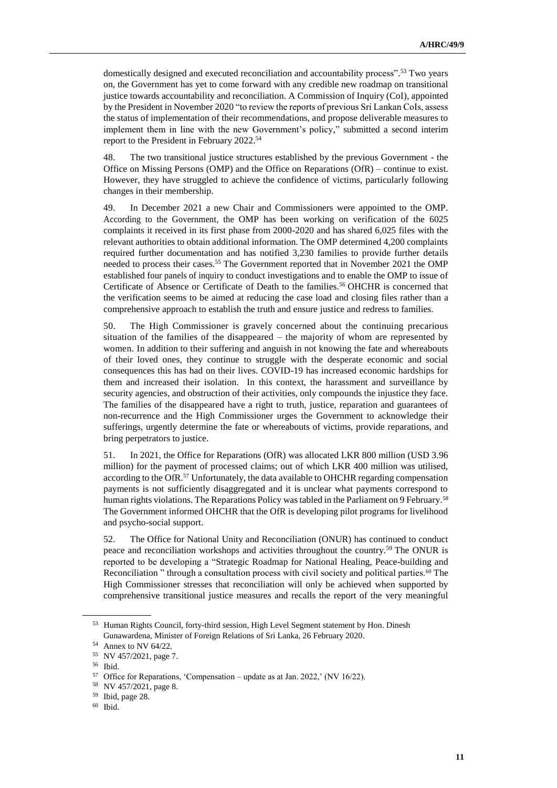domestically designed and executed reconciliation and accountability process". <sup>53</sup> Two years on, the Government has yet to come forward with any credible new roadmap on transitional justice towards accountability and reconciliation. A Commission of Inquiry (CoI), appointed by the President in November 2020 "to review the reports of previous Sri Lankan CoIs, assess the status of implementation of their recommendations, and propose deliverable measures to implement them in line with the new Government's policy," submitted a second interim report to the President in February 2022. 54

48. The two transitional justice structures established by the previous Government - the Office on Missing Persons (OMP) and the Office on Reparations (OfR) – continue to exist. However, they have struggled to achieve the confidence of victims, particularly following changes in their membership.

49. In December 2021 a new Chair and Commissioners were appointed to the OMP. According to the Government, the OMP has been working on verification of the 6025 complaints it received in its first phase from 2000-2020 and has shared 6,025 files with the relevant authorities to obtain additional information. The OMP determined 4,200 complaints required further documentation and has notified 3,230 families to provide further details needed to process their cases.<sup>55</sup> The Government reported that in November 2021 the OMP established four panels of inquiry to conduct investigations and to enable the OMP to issue of Certificate of Absence or Certificate of Death to the families.<sup>56</sup> OHCHR is concerned that the verification seems to be aimed at reducing the case load and closing files rather than a comprehensive approach to establish the truth and ensure justice and redress to families.

50. The High Commissioner is gravely concerned about the continuing precarious situation of the families of the disappeared – the majority of whom are represented by women. In addition to their suffering and anguish in not knowing the fate and whereabouts of their loved ones, they continue to struggle with the desperate economic and social consequences this has had on their lives. COVID-19 has increased economic hardships for them and increased their isolation. In this context, the harassment and surveillance by security agencies, and obstruction of their activities, only compounds the injustice they face. The families of the disappeared have a right to truth, justice, reparation and guarantees of non-recurrence and the High Commissioner urges the Government to acknowledge their sufferings, urgently determine the fate or whereabouts of victims, provide reparations, and bring perpetrators to justice.

51. In 2021, the Office for Reparations (OfR) was allocated LKR 800 million (USD 3.96 million) for the payment of processed claims; out of which LKR 400 million was utilised, according to the OfR. <sup>57</sup> Unfortunately, the data available to OHCHR regarding compensation payments is not sufficiently disaggregated and it is unclear what payments correspond to human rights violations. The Reparations Policy was tabled in the Parliament on 9 February.<sup>58</sup> The Government informed OHCHR that the OfR is developing pilot programs for livelihood and psycho-social support.

52. The Office for National Unity and Reconciliation (ONUR) has continued to conduct peace and reconciliation workshops and activities throughout the country.<sup>59</sup> The ONUR is reported to be developing a "Strategic Roadmap for National Healing, Peace-building and Reconciliation " through a consultation process with civil society and political parties.<sup>60</sup> The High Commissioner stresses that reconciliation will only be achieved when supported by comprehensive transitional justice measures and recalls the report of the very meaningful

<sup>53</sup> Human Rights Council, forty-third session, High Level Segment statement by Hon. Dinesh Gunawardena, Minister of Foreign Relations of Sri Lanka, 26 February 2020.

<sup>54</sup> Annex to NV 64/22.

<sup>55</sup> NV 457/2021, page 7.

<sup>56</sup> Ibid.

<sup>57</sup> Office for Reparations, 'Compensation – update as at Jan. 2022,' (NV 16/22).

<sup>58</sup> NV 457/2021, page 8.

<sup>59</sup> Ibid, page 28.

<sup>60</sup> Ibid.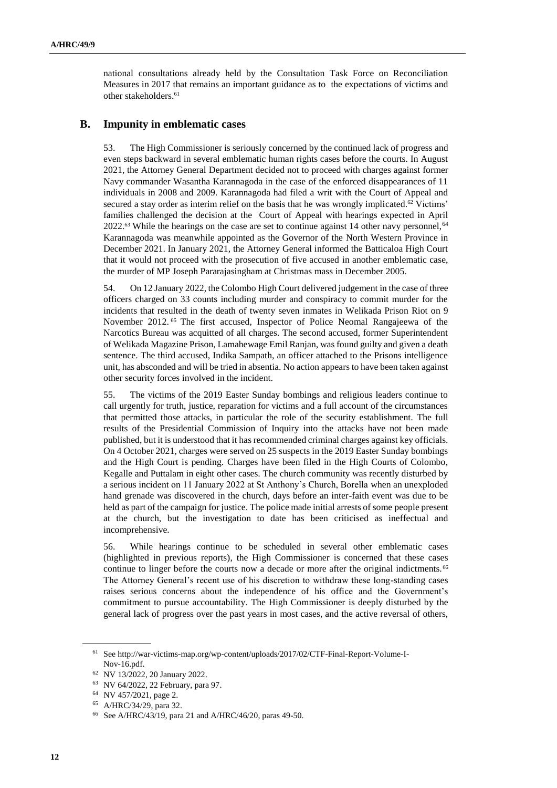national consultations already held by the Consultation Task Force on Reconciliation Measures in 2017 that remains an important guidance as to the expectations of victims and other stakeholders. 61

#### **B. Impunity in emblematic cases**

53. The High Commissioner is seriously concerned by the continued lack of progress and even steps backward in several emblematic human rights cases before the courts. In August 2021, the Attorney General Department decided not to proceed with charges against former Navy commander Wasantha Karannagoda in the case of the enforced disappearances of 11 individuals in 2008 and 2009. Karannagoda had filed a writ with the Court of Appeal and secured a stay order as interim relief on the basis that he was wrongly implicated.<sup>62</sup> Victims' families challenged the decision at the Court of Appeal with hearings expected in April 2022.<sup>63</sup> While the hearings on the case are set to continue against 14 other navy personnel, <sup>64</sup> Karannagoda was meanwhile appointed as the Governor of the North Western Province in December 2021. In January 2021, the Attorney General informed the Batticaloa High Court that it would not proceed with the prosecution of five accused in another emblematic case, the murder of MP Joseph Pararajasingham at Christmas mass in December 2005.

54. On 12 January 2022, the Colombo High Court delivered judgement in the case of three officers charged on 33 counts including murder and conspiracy to commit murder for the incidents that resulted in the death of twenty seven inmates in [Welikada Prison Riot](https://eur03.safelinks.protection.outlook.com/?url=https%3A%2F%2Fwww.dailymirror.lk%2Fprint%2Ffront_page%2FWelikada-Prison-Riot-case-judgement-postponed-to-January-12%2F238-228504&data=04%7C01%7Cjuan.fernandez%40one.un.org%7Caf078aee3ccd453f650108d9d6680dae%7Cb3e5db5e2944483799f57488ace54319%7C0%7C0%7C637776564676463204%7CUnknown%7CTWFpbGZsb3d8eyJWIjoiMC4wLjAwMDAiLCJQIjoiV2luMzIiLCJBTiI6Ik1haWwiLCJXVCI6Mn0%3D%7C3000&sdata=bAluxT7nzZpHwD8xGh65TeTPreJ7cy9eTQOwPXO7Ak0%3D&reserved=0) on 9 November 2012. <sup>65</sup> The first accused, Inspector of Police Neomal Rangajeewa of the Narcotics Bureau was acquitted of all charges. The second accused, former Superintendent of Welikada Magazine Prison, Lamahewage Emil Ranjan, was found guilty and given a death sentence. The third accused, Indika Sampath, an officer attached to the Prisons intelligence unit, has absconded and will be tried in absentia. No action appears to have been taken against other security forces involved in the incident.

55. The victims of the 2019 Easter Sunday bombings and religious leaders continue to call urgently for truth, justice, reparation for victims and a full account of the circumstances that permitted those attacks, in particular the role of the security establishment. The full results of the Presidential Commission of Inquiry into the attacks have not been made published, but it is understood that it has recommended criminal charges against key officials. On 4 October 2021, charges were served on 25 suspects in the 2019 Easter Sunday bombings and the High Court is pending. Charges have been filed in the High Courts of Colombo, Kegalle and Puttalam in eight other cases. The church community was recently disturbed by a serious incident on 11 January 2022 at St Anthony's Church, Borella when an unexploded hand grenade was discovered in the church, days before an inter-faith event was due to be held as part of the campaign for justice. The police made initial arrests of some people present at the church, but the investigation to date has been criticised as ineffectual and incomprehensive.

56. While hearings continue to be scheduled in several other emblematic cases (highlighted in previous reports), the High Commissioner is concerned that these cases continue to linger before the courts now a decade or more after the original indictments.<sup>66</sup> The Attorney General's recent use of his discretion to withdraw these long-standing cases raises serious concerns about the independence of his office and the Government's commitment to pursue accountability. The High Commissioner is deeply disturbed by the general lack of progress over the past years in most cases, and the active reversal of others,

<sup>61</sup> See [http://war-victims-map.org/wp-content/uploads/2017/02/CTF-Final-Report-Volume-I-](http://war-victims-map.org/wp-content/uploads/2017/02/CTF-Final-Report-Volume-I-Nov-16.pdf)[Nov-16.pdf.](http://war-victims-map.org/wp-content/uploads/2017/02/CTF-Final-Report-Volume-I-Nov-16.pdf)

<sup>62</sup> NV 13/2022, 20 January 2022.

<sup>63</sup> NV 64/2022, 22 February, para 97.

<sup>64</sup> NV 457/2021, page 2.

<sup>65</sup> A/HRC/34/29, para 32.

<sup>66</sup> See A/HRC/43/19, para 21 and A/HRC/46/20, paras 49-50.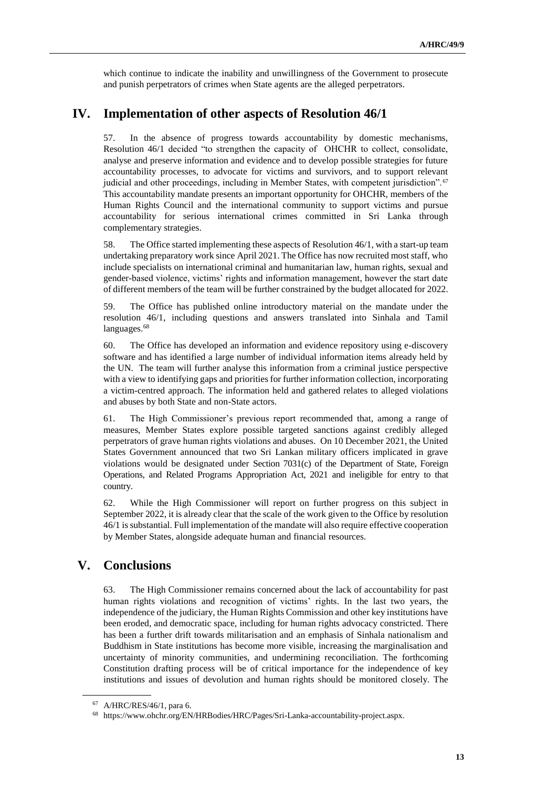which continue to indicate the inability and unwillingness of the Government to prosecute and punish perpetrators of crimes when State agents are the alleged perpetrators.

## **IV. Implementation of other aspects of Resolution 46/1**

57. In the absence of progress towards accountability by domestic mechanisms, Resolution 46/1 decided "to strengthen the capacity of OHCHR to collect, consolidate, analyse and preserve information and evidence and to develop possible strategies for future accountability processes, to advocate for victims and survivors, and to support relevant judicial and other proceedings, including in Member States, with competent jurisdiction". <sup>67</sup> This accountability mandate presents an important opportunity for OHCHR, members of the Human Rights Council and the international community to support victims and pursue accountability for serious international crimes committed in Sri Lanka through complementary strategies.

58. The Office started implementing these aspects of [Resolution 46/1,](https://www.ohchr.org/EN/HRBodies/HRC/RegularSessions/Session46/Pages/ListReports.aspx) with a start-up team undertaking preparatory work since April 2021. The Office has now recruited most staff, who include specialists on international criminal and humanitarian law, human rights, sexual and gender-based violence, victims' rights and information management, however the start date of different members of the team will be further constrained by the budget allocated for 2022.

59. The Office has published online introductory material on the mandate under the resolution 46/1, including questions and answers translated into Sinhala and Tamil languages.<sup>68</sup>

60. The Office has developed an information and evidence repository using e-discovery software and has identified a large number of individual information items already held by the UN. The team will further analyse this information from a criminal justice perspective with a view to identifying gaps and priorities for further information collection, incorporating a victim-centred approach. The information held and gathered relates to alleged violations and abuses by both State and non-State actors.

61. The High Commissioner's previous report recommended that, among a range of measures, Member States explore possible targeted sanctions against credibly alleged perpetrators of grave human rights violations and abuses. On 10 December 2021, the United States Government announced that two Sri Lankan military officers implicated in grave violations would be designated under Section 7031(c) of the Department of State, Foreign Operations, and Related Programs Appropriation Act, 2021 and ineligible for entry to that country.

62. While the High Commissioner will report on further progress on this subject in September 2022, it is already clear that the scale of the work given to the Office by resolution 46/1 is substantial. Full implementation of the mandate will also require effective cooperation by Member States, alongside adequate human and financial resources.

## **V. Conclusions**

63. The High Commissioner remains concerned about the lack of accountability for past human rights violations and recognition of victims' rights. In the last two years, the independence of the judiciary, the Human Rights Commission and other key institutions have been eroded, and democratic space, including for human rights advocacy constricted. There has been a further drift towards militarisation and an emphasis of Sinhala nationalism and Buddhism in State institutions has become more visible, increasing the marginalisation and uncertainty of minority communities, and undermining reconciliation. The forthcoming Constitution drafting process will be of critical importance for the independence of key institutions and issues of devolution and human rights should be monitored closely. The

<sup>67</sup> A/HRC/RES/46/1, para 6.

<sup>68</sup> [https://www.ohchr.org/EN/HRBodies/HRC/Pages/Sri-Lanka-accountability-project.aspx.](https://www.ohchr.org/EN/HRBodies/HRC/Pages/Sri-Lanka-accountability-project.aspx)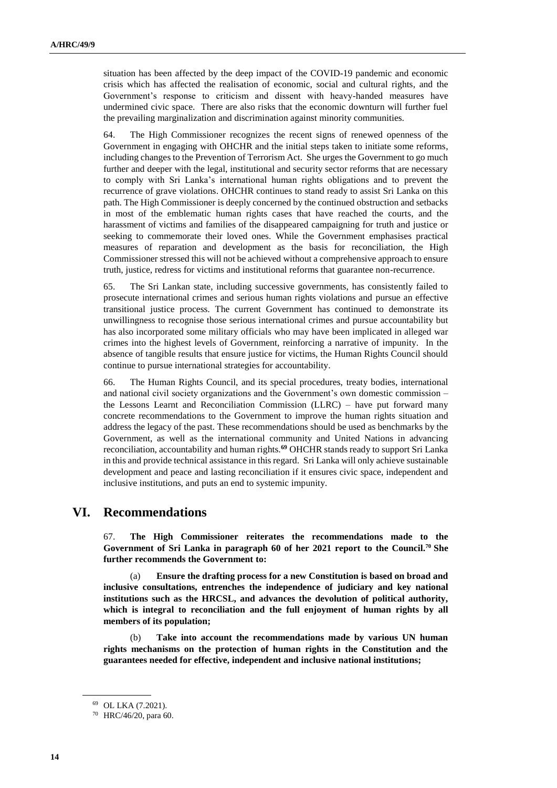situation has been affected by the deep impact of the COVID-19 pandemic and economic crisis which has affected the realisation of economic, social and cultural rights, and the Government's response to criticism and dissent with heavy-handed measures have undermined civic space. There are also risks that the economic downturn will further fuel the prevailing marginalization and discrimination against minority communities.

64. The High Commissioner recognizes the recent signs of renewed openness of the Government in engaging with OHCHR and the initial steps taken to initiate some reforms, including changes to the Prevention of Terrorism Act. She urges the Government to go much further and deeper with the legal, institutional and security sector reforms that are necessary to comply with Sri Lanka's international human rights obligations and to prevent the recurrence of grave violations. OHCHR continues to stand ready to assist Sri Lanka on this path. The High Commissioner is deeply concerned by the continued obstruction and setbacks in most of the emblematic human rights cases that have reached the courts, and the harassment of victims and families of the disappeared campaigning for truth and justice or seeking to commemorate their loved ones. While the Government emphasises practical measures of reparation and development as the basis for reconciliation, the High Commissioner stressed this will not be achieved without a comprehensive approach to ensure truth, justice, redress for victims and institutional reforms that guarantee non-recurrence.

65. The Sri Lankan state, including successive governments, has consistently failed to prosecute international crimes and serious human rights violations and pursue an effective transitional justice process*.* The current Government has continued to demonstrate its unwillingness to recognise those serious international crimes and pursue accountability but has also incorporated some military officials who may have been implicated in alleged war crimes into the highest levels of Government, reinforcing a narrative of impunity. In the absence of tangible results that ensure justice for victims, the Human Rights Council should continue to pursue international strategies for accountability.

66. The Human Rights Council, and its special procedures, treaty bodies, international and national civil society organizations and the Government's own domestic commission – the Lessons Learnt and Reconciliation Commission (LLRC) – have put forward many concrete recommendations to the Government to improve the human rights situation and address the legacy of the past. These recommendations should be used as benchmarks by the Government, as well as the international community and United Nations in advancing reconciliation, accountability and human rights.**<sup>69</sup>** OHCHR stands ready to support Sri Lanka in this and provide technical assistance in this regard. Sri Lanka will only achieve sustainable development and peace and lasting reconciliation if it ensures civic space, independent and inclusive institutions, and puts an end to systemic impunity.

## **VI. Recommendations**

67. **The High Commissioner reiterates the recommendations made to the Government of Sri Lanka in paragraph 60 of her 2021 report to the Council. <sup>70</sup> She further recommends the Government to:**

(a) **Ensure the drafting process for a new Constitution is based on broad and inclusive consultations, entrenches the independence of judiciary and key national institutions such as the HRCSL, and advances the devolution of political authority, which is integral to reconciliation and the full enjoyment of human rights by all members of its population;**

(b) **Take into account the recommendations made by various UN human rights mechanisms on the protection of human rights in the Constitution and the guarantees needed for effective, independent and inclusive national institutions;**

<sup>69</sup> OL LKA (7.2021).

<sup>70</sup> HRC/46/20, para 60.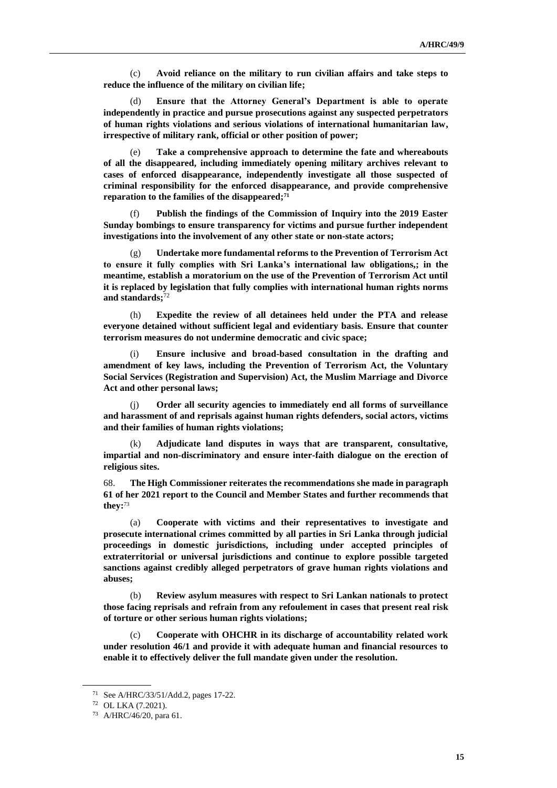(c) **Avoid reliance on the military to run civilian affairs and take steps to reduce the influence of the military on civilian life;**

(d) **Ensure that the Attorney General's Department is able to operate independently in practice and pursue prosecutions against any suspected perpetrators of human rights violations and serious violations of international humanitarian law, irrespective of military rank, official or other position of power;**

(e) **Take a comprehensive approach to determine the fate and whereabouts of all the disappeared, including immediately opening military archives relevant to cases of enforced disappearance, independently investigate all those suspected of criminal responsibility for the enforced disappearance, and provide comprehensive reparation to the families of the disappeared;<sup>71</sup>**

(f) **Publish the findings of the Commission of Inquiry into the 2019 Easter Sunday bombings to ensure transparency for victims and pursue further independent investigations into the involvement of any other state or non-state actors;**

(g) **Undertake more fundamental reforms to the Prevention of Terrorism Act to ensure it fully complies with Sri Lanka's international law obligations,; in the meantime, establish a moratorium on the use of the Prevention of Terrorism Act until it is replaced by legislation that fully complies with international human rights norms and standards;** 72

(h) **Expedite the review of all detainees held under the PTA and release everyone detained without sufficient legal and evidentiary basis. Ensure that counter terrorism measures do not undermine democratic and civic space;**

(i) **Ensure inclusive and broad-based consultation in the drafting and amendment of key laws, including the Prevention of Terrorism Act, the Voluntary Social Services (Registration and Supervision) Act, the Muslim Marriage and Divorce Act and other personal laws;**

(j) **Order all security agencies to immediately end all forms of surveillance and harassment of and reprisals against human rights defenders, social actors, victims and their families of human rights violations;**

(k) **Adjudicate land disputes in ways that are transparent, consultative, impartial and non-discriminatory and ensure inter-faith dialogue on the erection of religious sites.**

68. **The High Commissioner reiterates the recommendations she made in paragraph 61 of her 2021 report to the Council and Member States and further recommends that they:** 73

(a) **Cooperate with victims and their representatives to investigate and prosecute international crimes committed by all parties in Sri Lanka through judicial proceedings in domestic jurisdictions, including under accepted principles of extraterritorial or universal jurisdictions and continue to explore possible targeted sanctions against credibly alleged perpetrators of grave human rights violations and abuses;**

(b) **Review asylum measures with respect to Sri Lankan nationals to protect those facing reprisals and refrain from any refoulement in cases that present real risk of torture or other serious human rights violations;**

(c) **Cooperate with OHCHR in its discharge of accountability related work under resolution 46/1 and provide it with adequate human and financial resources to enable it to effectively deliver the full mandate given under the resolution.**

<sup>71</sup> See A/HRC/33/51/Add.2, pages 17-22.

<sup>72</sup> OL LKA (7.2021).

<sup>73</sup> A/HRC/46/20, para 61.